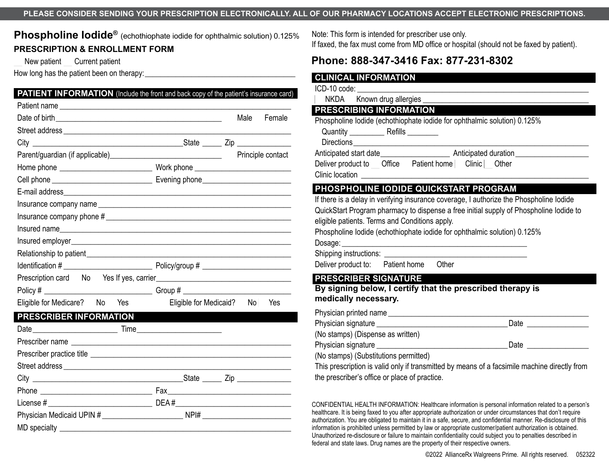#### **PLEASE CONSIDER SENDING YOUR PRESCRIPTION ELECTRONICALLY. ALL OF OUR PHARMACY LOCATIONS ACCEPT ELECTRONIC PRESCRIPTIONS.**

**Phospholine Iodide®** (echothiophate iodide for ophthalmic solution) 0.125% **PRESCRIPTION & ENROLLMENT FORM**

New patient Current patient

How long has the patient been on therapy:

| <b>PATIENT INFORMATION</b> (Include the front and back copy of the patient's insurance card) |                        |      |                   |
|----------------------------------------------------------------------------------------------|------------------------|------|-------------------|
|                                                                                              |                        |      |                   |
|                                                                                              |                        | Male | Female            |
|                                                                                              |                        |      |                   |
|                                                                                              |                        |      |                   |
|                                                                                              |                        |      | Principle contact |
|                                                                                              |                        |      |                   |
|                                                                                              |                        |      |                   |
|                                                                                              |                        |      |                   |
|                                                                                              |                        |      |                   |
|                                                                                              |                        |      |                   |
|                                                                                              |                        |      |                   |
|                                                                                              |                        |      |                   |
|                                                                                              |                        |      |                   |
|                                                                                              |                        |      |                   |
|                                                                                              |                        |      |                   |
|                                                                                              |                        |      |                   |
| Eligible for Medicare? No Yes                                                                | Eligible for Medicaid? | No l | Yes               |
| PRESCRIBER INFORMATION                                                                       |                        |      |                   |
|                                                                                              |                        |      |                   |
|                                                                                              |                        |      |                   |
|                                                                                              |                        |      |                   |
|                                                                                              |                        |      |                   |
|                                                                                              |                        |      |                   |
|                                                                                              |                        |      |                   |
|                                                                                              |                        |      |                   |
|                                                                                              |                        |      |                   |
| $MD$ specialty $\_$                                                                          |                        |      |                   |

Note: This form is intended for prescriber use only. If faxed, the fax must come from MD office or hospital (should not be faxed by patient).

# **Phone: 888-347-3416 Fax: 877-231-8302**

| ICD-10 code: _________________                                                                                                                                                                                                                                 |  |
|----------------------------------------------------------------------------------------------------------------------------------------------------------------------------------------------------------------------------------------------------------------|--|
| NKDA Known drug allergies ______<br>PRESCRIBING INFORMATION                                                                                                                                                                                                    |  |
| Phospholine lodide (echothiophate iodide for ophthalmic solution) 0.125%<br>Deliver product to __ Office __ Patient home   Clinic  _ Other                                                                                                                     |  |
| PHOSPHOLINE IODIDE QUICKSTART PROGRAM                                                                                                                                                                                                                          |  |
| QuickStart Program pharmacy to dispense a free initial supply of Phospholine lodide to<br>eligible patients. Terms and Conditions apply.<br>Phospholine lodide (echothiophate iodide for ophthalmic solution) 0.125%<br>Deliver product to: Patient home Other |  |
|                                                                                                                                                                                                                                                                |  |
| <b>PRESCRIBER SIGNATURE</b>                                                                                                                                                                                                                                    |  |
| By signing below, I certify that the prescribed therapy is<br>medically necessary.                                                                                                                                                                             |  |
|                                                                                                                                                                                                                                                                |  |
|                                                                                                                                                                                                                                                                |  |
| (No stamps) (Dispense as written)                                                                                                                                                                                                                              |  |

CONFIDENTIAL HEALTH INFORMATION: Healthcare information is personal information related to a person's healthcare. It is being faxed to you after appropriate authorization or under circumstances that don't require authorization. You are obligated to maintain it in a safe, secure, and confidential manner. Re-disclosure of this information is prohibited unless permitted by law or appropriate customer/patient authorization is obtained. Unauthorized re-disclosure or failure to maintain confidentiality could subject you to penalties described in federal and state laws. Drug names are the property of their respective owners.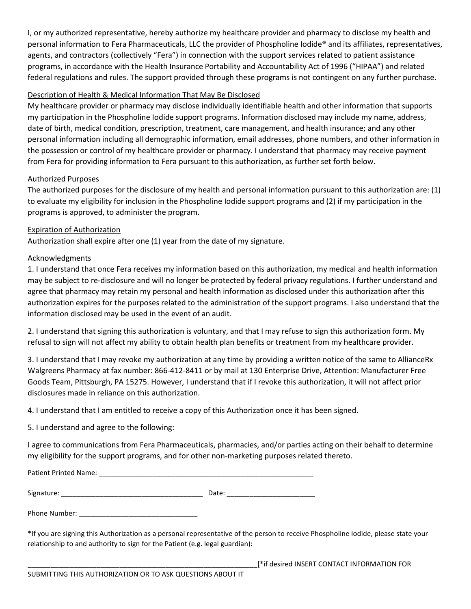I, or my authorized representative, hereby authorize my healthcare provider and pharmacy to disclose my health and personal information to Fera Pharmaceuticals, LLC the provider of Phospholine Iodide® and its affiliates, representatives, agents, and contractors (collectively "Fera") in connection with the support services related to patient assistance programs, in accordance with the Health Insurance Portability and Accountability Act of 1996 ("HIPAA") and related federal regulations and rules. The support provided through these programs is not contingent on any further purchase.

## Description of Health & Medical Information That May Be Disclosed

My healthcare provider or pharmacy may disclose individually identifiable health and other information that supports my participation in the Phospholine Iodide support programs. Information disclosed may include my name, address, date of birth, medical condition, prescription, treatment, care management, and health insurance; and any other personal information including all demographic information, email addresses, phone numbers, and other information in the possession or control of my healthcare provider or pharmacy. I understand that pharmacy may receive payment from Fera for providing information to Fera pursuant to this authorization, as further set forth below.

### Authorized Purposes

The authorized purposes for the disclosure of my health and personal information pursuant to this authorization are: (1) to evaluate my eligibility for inclusion in the Phospholine Iodide support programs and (2) if my participation in the programs is approved, to administer the program.

## Expiration of Authorization

Authorization shall expire after one (1) year from the date of my signature.

## Acknowledgments

1. I understand that once Fera receives my information based on this authorization, my medical and health information may be subject to re-disclosure and will no longer be protected by federal privacy regulations. I further understand and agree that pharmacy may retain my personal and health information as disclosed under this authorization after this authorization expires for the purposes related to the administration of the support programs. I also understand that the information disclosed may be used in the event of an audit.

2. I understand that signing this authorization is voluntary, and that I may refuse to sign this authorization form. My refusal to sign will not affect my ability to obtain health plan benefits or treatment from my healthcare provider.

3. I understand that I may revoke my authorization at any time by providing a written notice of the same to AllianceRx Walgreens Pharmacy at fax number: 866-412-8411 or by mail at 130 Enterprise Drive, Attention: Manufacturer Free Goods Team, Pittsburgh, PA 15275. However, I understand that if I revoke this authorization, it will not affect prior disclosures made in reliance on this authorization.

4. I understand that I am entitled to receive a copy of this Authorization once it has been signed.

5. I understand and agree to the following:

I agree to communications from Fera Pharmaceuticals, pharmacies, and/or parties acting on their behalf to determine my eligibility for the support programs, and for other non-marketing purposes related thereto.

Patient Printed Name: **Example 2018** 

Signature: \_\_\_\_\_\_\_\_\_\_\_\_\_\_\_\_\_\_\_\_\_\_\_\_\_\_\_\_\_\_\_\_\_\_\_\_\_ Date: \_\_\_\_\_\_\_\_\_\_\_\_\_\_\_\_\_\_\_\_\_\_\_

Phone Number:  $\blacksquare$ 

\*If you are signing this Authorization as a personal representative of the person to receive Phospholine Iodide, please state your relationship to and authority to sign for the Patient (e.g. legal guardian):

\_\_\_\_\_\_\_\_\_\_\_\_\_\_\_\_\_\_\_\_\_\_\_\_\_\_\_\_\_\_\_\_\_\_\_\_\_\_\_\_\_\_\_\_\_\_\_\_\_\_\_\_\_\_\_\_\_\_\_\_[\*if desired INSERT CONTACT INFORMATION FOR